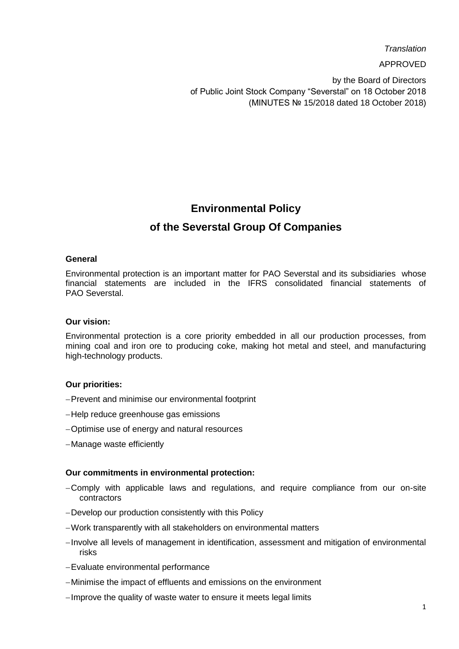*Translation*

APPROVED

by the Board of Directors of Public Joint Stock Company "Severstal" on 18 October 2018 (MINUTES № 15/2018 dated 18 October 2018)

# **Environmental Policy**

# **of the Severstal Group Of Companies**

### **General**

Environmental protection is an important matter for PAO Severstal and its subsidiaries whose financial statements are included in the IFRS consolidated financial statements of PAO Severstal.

## **Our vision:**

Environmental protection is a core priority embedded in all our production processes, from mining coal and iron ore to producing coke, making hot metal and steel, and manufacturing high-technology products.

## **Our priorities:**

- -Prevent and minimise our environmental footprint
- -Help reduce greenhouse gas emissions
- Optimise use of energy and natural resources
- -Manage waste efficiently

### **Our commitments in environmental protection:**

- Comply with applicable laws and regulations, and require compliance from our on-site contractors
- Develop our production consistently with this Policy
- Work transparently with all stakeholders on environmental matters
- Involve all levels of management in identification, assessment and mitigation of environmental risks
- Evaluate environmental performance
- Minimise the impact of effluents and emissions on the environment
- -Improve the quality of waste water to ensure it meets legal limits